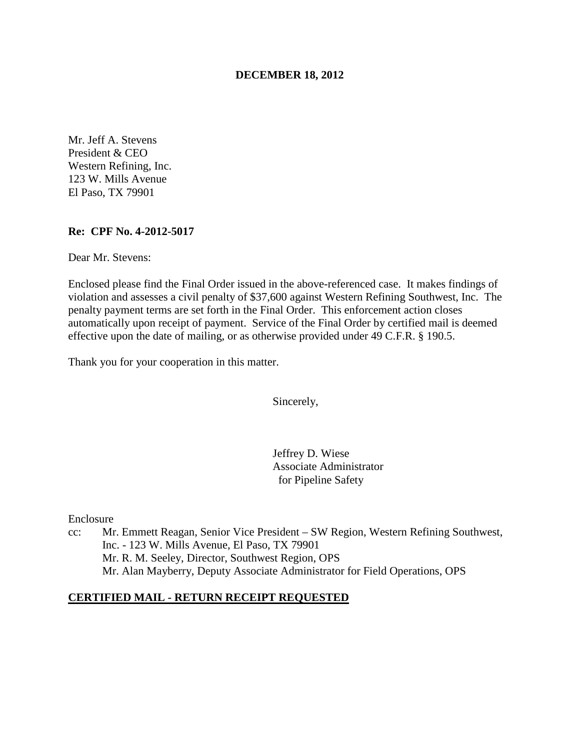## **DECEMBER 18, 2012**

Mr. Jeff A. Stevens President & CEO Western Refining, Inc. 123 W. Mills Avenue El Paso, TX 79901

#### **Re: CPF No. 4-2012-5017**

Dear Mr. Stevens:

Enclosed please find the Final Order issued in the above-referenced case. It makes findings of violation and assesses a civil penalty of \$37,600 against Western Refining Southwest, Inc. The penalty payment terms are set forth in the Final Order. This enforcement action closes automatically upon receipt of payment. Service of the Final Order by certified mail is deemed effective upon the date of mailing, or as otherwise provided under 49 C.F.R. § 190.5.

Thank you for your cooperation in this matter.

Sincerely,

Jeffrey D. Wiese Associate Administrator for Pipeline Safety

Enclosure

cc: Mr. Emmett Reagan, Senior Vice President – SW Region, Western Refining Southwest, Inc. - 123 W. Mills Avenue, El Paso, TX 79901 Mr. R. M. Seeley, Director, Southwest Region, OPS Mr. Alan Mayberry, Deputy Associate Administrator for Field Operations, OPS

#### **CERTIFIED MAIL - RETURN RECEIPT REQUESTED**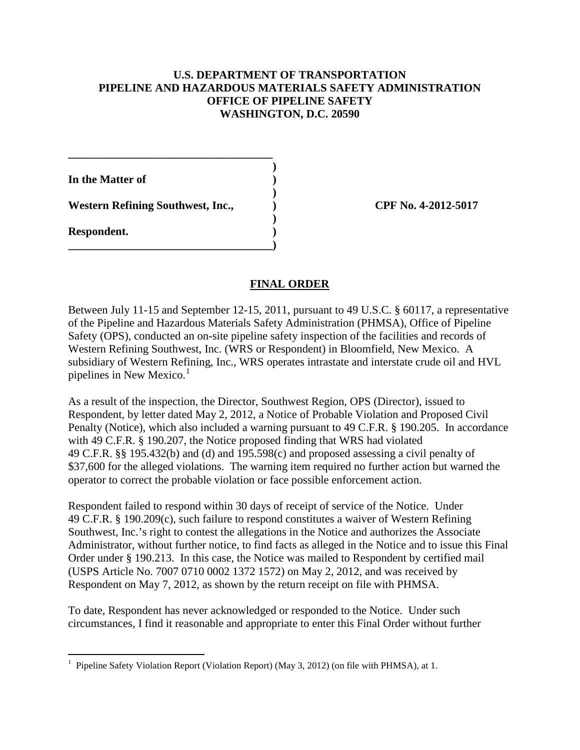# **U.S. DEPARTMENT OF TRANSPORTATION PIPELINE AND HAZARDOUS MATERIALS SAFETY ADMINISTRATION OFFICE OF PIPELINE SAFETY WASHINGTON, D.C. 20590**

 **) In the Matter of )** 

 **)**  Western Refining Southwest, Inc.,  $CPF No. 4-2012-5017$ 

**\_\_\_\_\_\_\_\_\_\_\_\_\_\_\_\_\_\_\_\_\_\_\_\_\_\_\_\_\_\_\_\_\_\_\_\_** 

**\_\_\_\_\_\_\_\_\_\_\_\_\_\_\_\_\_\_\_\_\_\_\_\_\_\_\_\_\_\_\_\_\_\_\_\_)** 

 **) Respondent. )** 

# **FINAL ORDER**

Between July 11-15 and September 12-15, 2011, pursuant to 49 U.S.C. § 60117, a representative of the Pipeline and Hazardous Materials Safety Administration (PHMSA), Office of Pipeline Safety (OPS), conducted an on-site pipeline safety inspection of the facilities and records of Western Refining Southwest, Inc. (WRS or Respondent) in Bloomfield, New Mexico. A subsidiary of Western Refining, Inc., WRS operates intrastate and interstate crude oil and HVL pipelines in New Mexico. 1

As a result of the inspection, the Director, Southwest Region, OPS (Director), issued to Respondent, by letter dated May 2, 2012, a Notice of Probable Violation and Proposed Civil Penalty (Notice), which also included a warning pursuant to 49 C.F.R. § 190.205. In accordance with 49 C.F.R. § 190.207, the Notice proposed finding that WRS had violated 49 C.F.R. §§ 195.432(b) and (d) and 195.598(c) and proposed assessing a civil penalty of \$37,600 for the alleged violations. The warning item required no further action but warned the operator to correct the probable violation or face possible enforcement action.

Respondent failed to respond within 30 days of receipt of service of the Notice. Under 49 C.F.R. § 190.209(c), such failure to respond constitutes a waiver of Western Refining Southwest, Inc.'s right to contest the allegations in the Notice and authorizes the Associate Administrator, without further notice, to find facts as alleged in the Notice and to issue this Final Order under § 190.213. In this case, the Notice was mailed to Respondent by certified mail (USPS Article No. 7007 0710 0002 1372 1572) on May 2, 2012, and was received by Respondent on May 7, 2012, as shown by the return receipt on file with PHMSA.

To date, Respondent has never acknowledged or responded to the Notice. Under such circumstances, I find it reasonable and appropriate to enter this Final Order without further

 1 Pipeline Safety Violation Report (Violation Report) (May 3, 2012) (on file with PHMSA), at 1.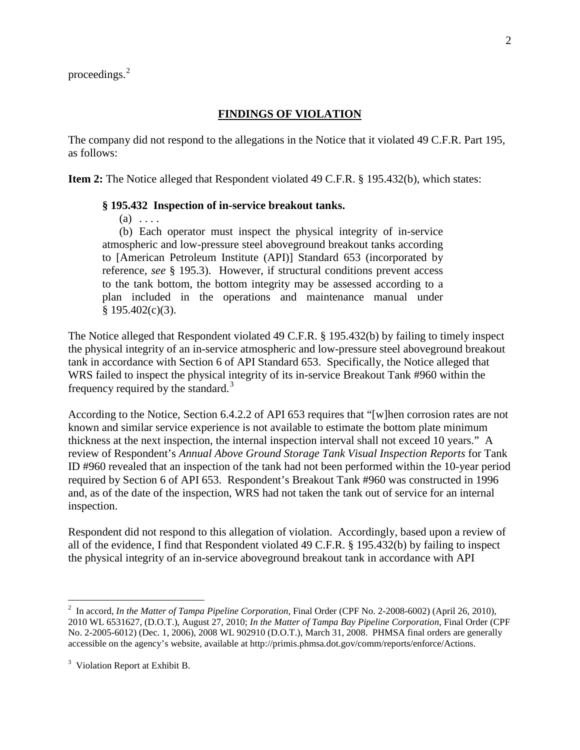## **FINDINGS OF VIOLATION**

The company did not respond to the allegations in the Notice that it violated 49 C.F.R. Part 195, as follows:

**Item 2:** The Notice alleged that Respondent violated 49 C.F.R. § 195.432(b), which states:

#### **§ 195.432 Inspection of in-service breakout tanks.**

 $(a) \ldots$ 

(b) Each operator must inspect the physical integrity of in-service atmospheric and low-pressure steel aboveground breakout tanks according to [American Petroleum Institute (API)] Standard 653 (incorporated by reference, *see* § 195.3). However, if structural conditions prevent access to the tank bottom, the bottom integrity may be assessed according to a plan included in the operations and maintenance manual under  $§$  195.402(c)(3).

The Notice alleged that Respondent violated 49 C.F.R. § 195.432(b) by failing to timely inspect the physical integrity of an in-service atmospheric and low-pressure steel aboveground breakout tank in accordance with Section 6 of API Standard 653. Specifically, the Notice alleged that WRS failed to inspect the physical integrity of its in-service Breakout Tank #960 within the frequency required by the standard.<sup>3</sup>

According to the Notice, Section 6.4.2.2 of API 653 requires that "[w]hen corrosion rates are not known and similar service experience is not available to estimate the bottom plate minimum thickness at the next inspection, the internal inspection interval shall not exceed 10 years." A review of Respondent's *Annual Above Ground Storage Tank Visual Inspection Reports* for Tank ID #960 revealed that an inspection of the tank had not been performed within the 10-year period required by Section 6 of API 653. Respondent's Breakout Tank #960 was constructed in 1996 and, as of the date of the inspection, WRS had not taken the tank out of service for an internal inspection.

Respondent did not respond to this allegation of violation. Accordingly, based upon a review of all of the evidence, I find that Respondent violated 49 C.F.R. § 195.432(b) by failing to inspect the physical integrity of an in-service aboveground breakout tank in accordance with API

 $\overline{a}$ 

<sup>2</sup> In accord, *In the Matter of Tampa Pipeline Corporation*, Final Order (CPF No. 2-2008-6002) (April 26, 2010), 2010 WL 6531627, (D.O.T.), August 27, 2010; *In the Matter of Tampa Bay Pipeline Corporation*, Final Order (CPF No. 2-2005-6012) (Dec. 1, 2006), 2008 WL 902910 (D.O.T.), March 31, 2008. PHMSA final orders are generally accessible on the agency's website, available at http://primis.phmsa.dot.gov/comm/reports/enforce/Actions.

 $3$  Violation Report at Exhibit B.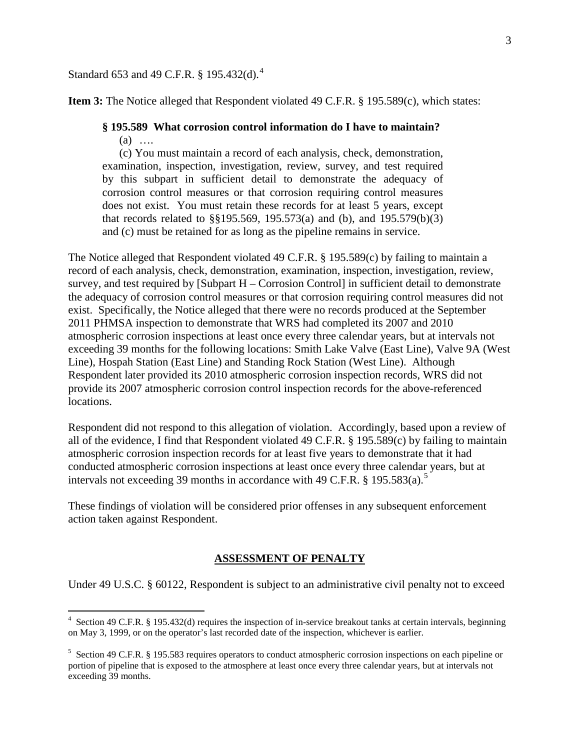# Standard 653 and 49 C.F.R. § 195.432(d).<sup>4</sup>

**Item 3:** The Notice alleged that Respondent violated 49 C.F.R. § 195.589(c), which states:

# **§ 195.589 What corrosion control information do I have to maintain?**

(a) ….

(c) You must maintain a record of each analysis, check, demonstration, examination, inspection, investigation, review, survey, and test required by this subpart in sufficient detail to demonstrate the adequacy of corrosion control measures or that corrosion requiring control measures does not exist. You must retain these records for at least 5 years, except that records related to §§195.569, 195.573(a) and (b), and 195.579(b)(3) and (c) must be retained for as long as the pipeline remains in service.

The Notice alleged that Respondent violated 49 C.F.R. § 195.589(c) by failing to maintain a record of each analysis, check, demonstration, examination, inspection, investigation, review, survey, and test required by [Subpart H – Corrosion Control] in sufficient detail to demonstrate the adequacy of corrosion control measures or that corrosion requiring control measures did not exist. Specifically, the Notice alleged that there were no records produced at the September 2011 PHMSA inspection to demonstrate that WRS had completed its 2007 and 2010 atmospheric corrosion inspections at least once every three calendar years, but at intervals not exceeding 39 months for the following locations: Smith Lake Valve (East Line), Valve 9A (West Line), Hospah Station (East Line) and Standing Rock Station (West Line). Although Respondent later provided its 2010 atmospheric corrosion inspection records, WRS did not provide its 2007 atmospheric corrosion control inspection records for the above-referenced locations.

Respondent did not respond to this allegation of violation. Accordingly, based upon a review of all of the evidence, I find that Respondent violated 49 C.F.R. § 195.589(c) by failing to maintain atmospheric corrosion inspection records for at least five years to demonstrate that it had conducted atmospheric corrosion inspections at least once every three calendar years, but at intervals not exceeding 39 months in accordance with 49 C.F.R. § 195.583(a).<sup>5</sup>

These findings of violation will be considered prior offenses in any subsequent enforcement action taken against Respondent.

#### **ASSESSMENT OF PENALTY**

Under 49 U.S.C. § 60122, Respondent is subject to an administrative civil penalty not to exceed

 4 Section 49 C.F.R. § 195.432(d) requires the inspection of in-service breakout tanks at certain intervals, beginning on May 3, 1999, or on the operator's last recorded date of the inspection, whichever is earlier.

<sup>&</sup>lt;sup>5</sup> Section 49 C.F.R. § 195.583 requires operators to conduct atmospheric corrosion inspections on each pipeline or portion of pipeline that is exposed to the atmosphere at least once every three calendar years, but at intervals not exceeding 39 months.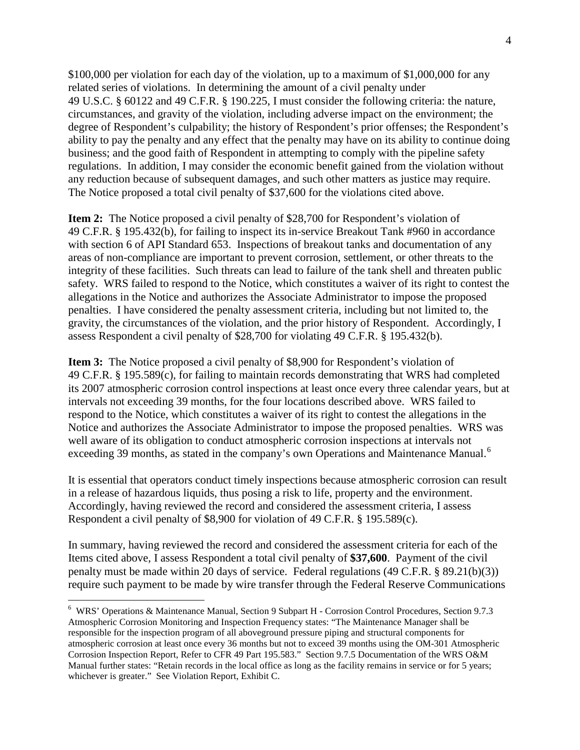\$100,000 per violation for each day of the violation, up to a maximum of \$1,000,000 for any related series of violations. In determining the amount of a civil penalty under 49 U.S.C. § 60122 and 49 C.F.R. § 190.225, I must consider the following criteria: the nature, circumstances, and gravity of the violation, including adverse impact on the environment; the degree of Respondent's culpability; the history of Respondent's prior offenses; the Respondent's ability to pay the penalty and any effect that the penalty may have on its ability to continue doing business; and the good faith of Respondent in attempting to comply with the pipeline safety regulations. In addition, I may consider the economic benefit gained from the violation without any reduction because of subsequent damages, and such other matters as justice may require. The Notice proposed a total civil penalty of \$37,600 for the violations cited above.

**Item 2:** The Notice proposed a civil penalty of \$28,700 for Respondent's violation of 49 C.F.R. § 195.432(b), for failing to inspect its in-service Breakout Tank #960 in accordance with section 6 of API Standard 653. Inspections of breakout tanks and documentation of any areas of non-compliance are important to prevent corrosion, settlement, or other threats to the integrity of these facilities. Such threats can lead to failure of the tank shell and threaten public safety. WRS failed to respond to the Notice, which constitutes a waiver of its right to contest the allegations in the Notice and authorizes the Associate Administrator to impose the proposed penalties. I have considered the penalty assessment criteria, including but not limited to, the gravity, the circumstances of the violation, and the prior history of Respondent. Accordingly, I assess Respondent a civil penalty of \$28,700 for violating 49 C.F.R. § 195.432(b).

**Item 3:** The Notice proposed a civil penalty of \$8,900 for Respondent's violation of 49 C.F.R. § 195.589(c), for failing to maintain records demonstrating that WRS had completed its 2007 atmospheric corrosion control inspections at least once every three calendar years, but at intervals not exceeding 39 months, for the four locations described above. WRS failed to respond to the Notice, which constitutes a waiver of its right to contest the allegations in the Notice and authorizes the Associate Administrator to impose the proposed penalties. WRS was well aware of its obligation to conduct atmospheric corrosion inspections at intervals not exceeding 39 months, as stated in the company's own Operations and Maintenance Manual.<sup>6</sup>

It is essential that operators conduct timely inspections because atmospheric corrosion can result in a release of hazardous liquids, thus posing a risk to life, property and the environment. Accordingly, having reviewed the record and considered the assessment criteria, I assess Respondent a civil penalty of \$8,900 for violation of 49 C.F.R. § 195.589(c).

In summary, having reviewed the record and considered the assessment criteria for each of the Items cited above, I assess Respondent a total civil penalty of **\$37,600**. Payment of the civil penalty must be made within 20 days of service. Federal regulations (49 C.F.R. § 89.21(b)(3)) require such payment to be made by wire transfer through the Federal Reserve Communications

 $\overline{a}$ 

<sup>6</sup> WRS' Operations & Maintenance Manual, Section 9 Subpart H - Corrosion Control Procedures, Section 9.7.3 Atmospheric Corrosion Monitoring and Inspection Frequency states: "The Maintenance Manager shall be responsible for the inspection program of all aboveground pressure piping and structural components for atmospheric corrosion at least once every 36 months but not to exceed 39 months using the OM-301 Atmospheric Corrosion Inspection Report, Refer to CFR 49 Part 195.583." Section 9.7.5 Documentation of the WRS O&M Manual further states: "Retain records in the local office as long as the facility remains in service or for 5 years; whichever is greater." See Violation Report, Exhibit C.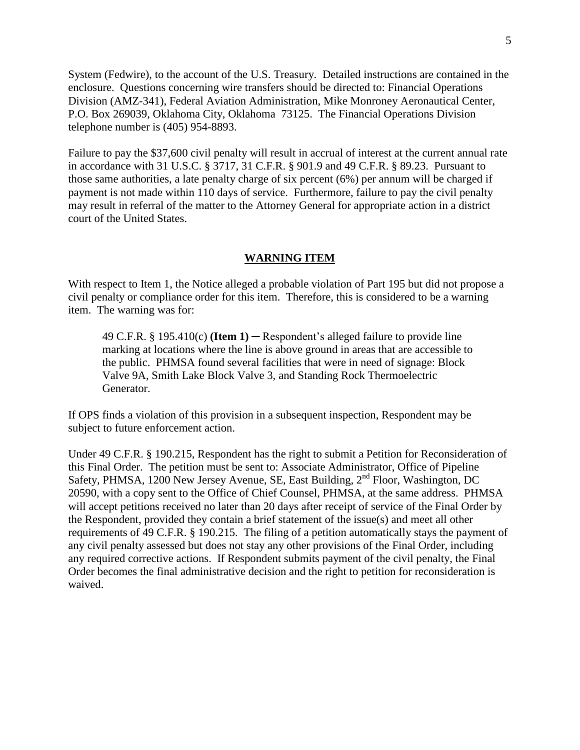System (Fedwire), to the account of the U.S. Treasury. Detailed instructions are contained in the enclosure. Questions concerning wire transfers should be directed to: Financial Operations Division (AMZ-341), Federal Aviation Administration, Mike Monroney Aeronautical Center, P.O. Box 269039, Oklahoma City, Oklahoma 73125. The Financial Operations Division telephone number is (405) 954-8893.

Failure to pay the \$37,600 civil penalty will result in accrual of interest at the current annual rate in accordance with 31 U.S.C. § 3717, 31 C.F.R. § 901.9 and 49 C.F.R. § 89.23. Pursuant to those same authorities, a late penalty charge of six percent (6%) per annum will be charged if payment is not made within 110 days of service. Furthermore, failure to pay the civil penalty may result in referral of the matter to the Attorney General for appropriate action in a district court of the United States.

#### **WARNING ITEM**

With respect to Item 1, the Notice alleged a probable violation of Part 195 but did not propose a civil penalty or compliance order for this item. Therefore, this is considered to be a warning item. The warning was for:

49 C.F.R. § 195.410(c) **(Item 1)** ─ Respondent's alleged failure to provide line marking at locations where the line is above ground in areas that are accessible to the public. PHMSA found several facilities that were in need of signage: Block Valve 9A, Smith Lake Block Valve 3, and Standing Rock Thermoelectric Generator.

If OPS finds a violation of this provision in a subsequent inspection, Respondent may be subject to future enforcement action.

Under 49 C.F.R. § 190.215, Respondent has the right to submit a Petition for Reconsideration of this Final Order. The petition must be sent to: Associate Administrator, Office of Pipeline Safety, PHMSA, 1200 New Jersey Avenue, SE, East Building, 2<sup>nd</sup> Floor, Washington, DC 20590, with a copy sent to the Office of Chief Counsel, PHMSA, at the same address. PHMSA will accept petitions received no later than 20 days after receipt of service of the Final Order by the Respondent, provided they contain a brief statement of the issue(s) and meet all other requirements of 49 C.F.R. § 190.215. The filing of a petition automatically stays the payment of any civil penalty assessed but does not stay any other provisions of the Final Order, including any required corrective actions. If Respondent submits payment of the civil penalty, the Final Order becomes the final administrative decision and the right to petition for reconsideration is waived.